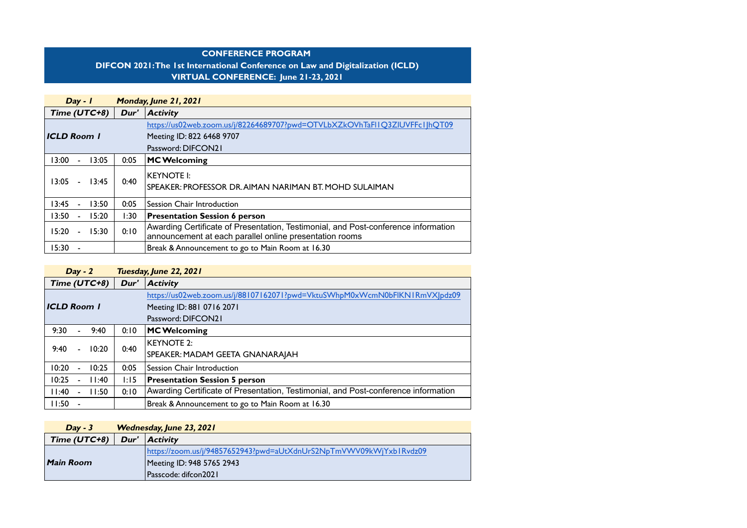#### CONFERENCE PROGRAM

### DIFCON 2021: The 1st International Conference on Law and Digitalization (ICLD) VIRTUAL CONFERENCE: June 21-23, 2021

| $Day - 1$                        |                                     | Monday, June 21, 2021                                                              |
|----------------------------------|-------------------------------------|------------------------------------------------------------------------------------|
| Time $(UTC+8)$                   | Dur'                                | $ $ Activity                                                                       |
|                                  |                                     | https://us02web.zoom.us/j/82264689707?pwd=OTVLbXZkOVhTaFIIQ3ZIUVFFc1JhQT09         |
| ICLD Room                        |                                     | Meeting ID: 822 6468 9707                                                          |
|                                  |                                     | Password: DIFCON21                                                                 |
| 13:00<br>$\sim$                  | 0:05<br>3:05<br><b>MC Welcoming</b> |                                                                                    |
|                                  |                                     | KEYNOTE I:                                                                         |
| 13:05<br>13:45<br>$\overline{a}$ | 0:40                                | SPEAKER: PROFESSOR DR. AIMAN NARIMAN BT. MOHD SULAIMAN                             |
| 13:50<br>13:45<br>$\blacksquare$ | 0:05                                | Session Chair Introduction                                                         |
| 15:20<br>13:50<br>$\sim$         | 1:30                                | <b>Presentation Session 6 person</b>                                               |
| 15:30<br>15:20                   | 0:10                                | Awarding Certificate of Presentation, Testimonial, and Post-conference information |
|                                  |                                     | announcement at each parallel online presentation rooms                            |
| 15:30                            |                                     | Break & Announcement to go to Main Room at 16.30                                   |

|                      | $Day - 2$ |       | Tuesday, June 22, 2021      |                                                                                    |  |
|----------------------|-----------|-------|-----------------------------|------------------------------------------------------------------------------------|--|
| Time (UTC+8)<br>Dur' |           |       | $ $ Activity                |                                                                                    |  |
|                      |           |       |                             | https://us02web.zoom.us/j/88107162071?pwd=VktuSWhpM0xWcmN0bFlKN1RmVXJpdz09         |  |
| <b>ICLD Room 1</b>   |           |       |                             | Meeting ID: 881 0716 2071                                                          |  |
|                      |           |       |                             | Password: DIFCON21                                                                 |  |
| 9:30                 | ÷.        | 9:40  | 0:10<br><b>MC Welcoming</b> |                                                                                    |  |
|                      |           |       |                             | KEYNOTE 2:                                                                         |  |
| 9:40                 | ÷.        | 10:20 | 0:40                        | SPEAKER: MADAM GEETA GNANARAJAH                                                    |  |
| 10:20                | $\sim$    | 10:25 | 0:05                        | Session Chair Introduction                                                         |  |
| 10:25                | ä,        | 11:40 | 1:15                        | <b>Presentation Session 5 person</b>                                               |  |
| 11:40                | ÷         | 11:50 | 0:10                        | Awarding Certificate of Presentation, Testimonial, and Post-conference information |  |
| 11:50                |           |       |                             | Break & Announcement to go to Main Room at 16.30                                   |  |

| $Day - 3$                                   | Wednesday, June 23, 2021 |                                                                    |
|---------------------------------------------|--------------------------|--------------------------------------------------------------------|
| Time (UTC+8)<br>Dur'<br>$ $ <b>Activity</b> |                          |                                                                    |
|                                             |                          | https://zoom.us/j/94857652943?pwd=aUtXdnUrS2NpTmVWV09kWjYxb1Rvdz09 |
| Main Room                                   |                          | Meeting ID: 948 5765 2943                                          |
|                                             |                          | Passcode: difcon2021                                               |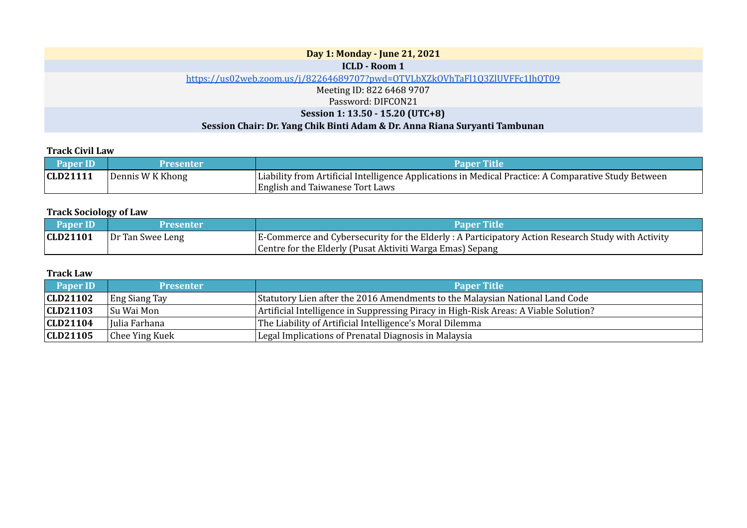| Day 1: Monday - June 21, 2021                                              |
|----------------------------------------------------------------------------|
| <b>ICLD - Room 1</b>                                                       |
| https://us02web.zoom.us/j/82264689707?pwd=OTVLbXZkOVhTaFl1Q3ZlUVFFc1JhQT09 |
| Meeting ID: 822 6468 9707                                                  |
| Password: DIFCON21                                                         |
| Session 1: 13.50 - 15.20 (UTC+8)                                           |
| Session Chair: Dr. Yang Chik Binti Adam & Dr. Anna Riana Suryanti Tambunan |

## Track Civil Law

| <b>Paper ID</b> | Presenter        | <b>Paner Title</b>                                                                                                                             |
|-----------------|------------------|------------------------------------------------------------------------------------------------------------------------------------------------|
| CLD21111        | Dennis W K Khong | Liability from Artificial Intelligence Applications in Medical Practice: A Comparative Study Between<br><b>English and Taiwanese Tort Laws</b> |

### Track Sociology of Law

| <b>Paper ID</b> | <b>Presenter</b> | <b>Paper Title</b>                                                                                 |
|-----------------|------------------|----------------------------------------------------------------------------------------------------|
| CD21101         | Dr Tan Swee Leng | E-Commerce and Cybersecurity for the Elderly : A Participatory Action Research Study with Activity |
|                 |                  | Centre for the Elderly (Pusat Aktiviti Warga Emas) Sepang                                          |

### Track Law

| <b>Paper ID</b> | <b>Presenter</b>     | <b>Paper Title</b>                                                                   |
|-----------------|----------------------|--------------------------------------------------------------------------------------|
| CD21102         | <b>Eng Siang Tay</b> | Statutory Lien after the 2016 Amendments to the Malaysian National Land Code         |
| CLD21103        | Su Wai Mon           | Artificial Intelligence in Suppressing Piracy in High-Risk Areas: A Viable Solution? |
| CLD21104        | Hulia Farhana        | The Liability of Artificial Intelligence's Moral Dilemma                             |
| CD21105         | Chee Ying Kuek       | Legal Implications of Prenatal Diagnosis in Malaysia                                 |